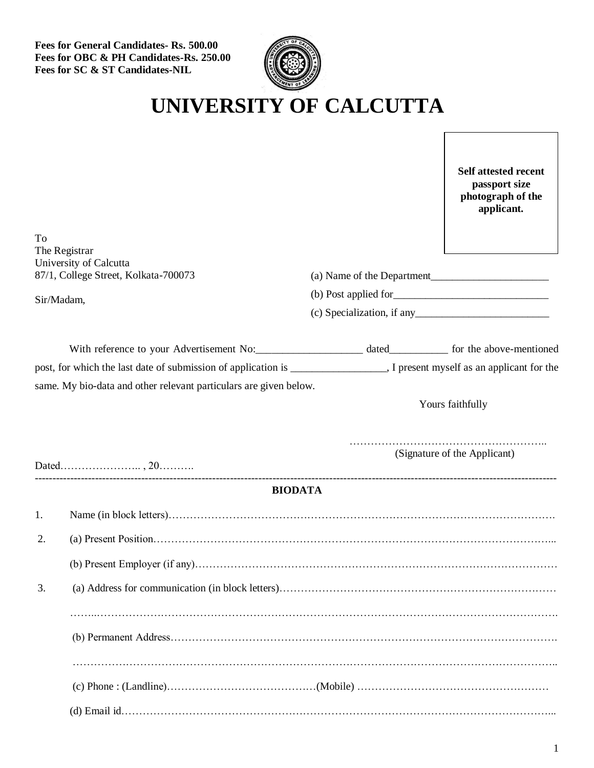**Fees for General Candidates- Rs. 500.00 Fees for OBC & PH Candidates-Rs. 250.00 Fees for SC & ST Candidates-NIL** 



# **UNIVERSITY OF CALCUTTA**

 $\mathsf{r}$ 

|    |                                                                                                                            |                                                      | <b>Self attested recent</b><br>passport size<br>photograph of the<br>applicant. |
|----|----------------------------------------------------------------------------------------------------------------------------|------------------------------------------------------|---------------------------------------------------------------------------------|
| To | The Registrar                                                                                                              |                                                      |                                                                                 |
|    | University of Calcutta<br>87/1, College Street, Kolkata-700073                                                             |                                                      |                                                                                 |
|    |                                                                                                                            | (a) Name of the Department<br>$(b)$ Post applied for |                                                                                 |
|    | Sir/Madam,                                                                                                                 |                                                      |                                                                                 |
|    |                                                                                                                            |                                                      |                                                                                 |
|    |                                                                                                                            |                                                      |                                                                                 |
|    | post, for which the last date of submission of application is __________________, I present myself as an applicant for the |                                                      |                                                                                 |
|    | same. My bio-data and other relevant particulars are given below.                                                          |                                                      |                                                                                 |
|    |                                                                                                                            |                                                      | Yours faithfully                                                                |
|    |                                                                                                                            |                                                      |                                                                                 |
|    |                                                                                                                            |                                                      |                                                                                 |
|    |                                                                                                                            |                                                      |                                                                                 |
|    |                                                                                                                            |                                                      | (Signature of the Applicant)                                                    |
|    | <b>BIODATA</b>                                                                                                             |                                                      |                                                                                 |
| 1. |                                                                                                                            |                                                      |                                                                                 |
| 2. |                                                                                                                            |                                                      |                                                                                 |
|    |                                                                                                                            |                                                      |                                                                                 |
|    |                                                                                                                            |                                                      |                                                                                 |
| 3. |                                                                                                                            |                                                      |                                                                                 |
|    |                                                                                                                            |                                                      |                                                                                 |
|    |                                                                                                                            |                                                      |                                                                                 |
|    |                                                                                                                            |                                                      |                                                                                 |
|    |                                                                                                                            |                                                      |                                                                                 |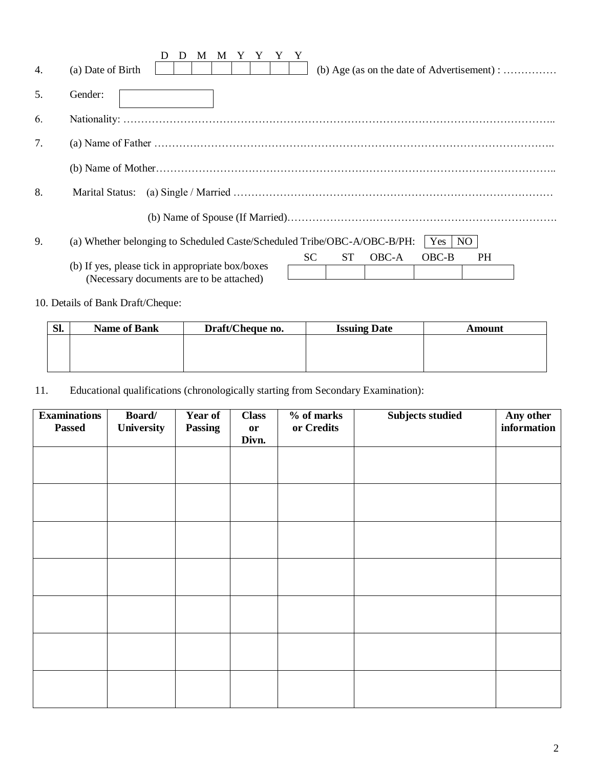|    | M<br>M<br>$\blacksquare$                                                                     |
|----|----------------------------------------------------------------------------------------------|
| 4. | (a) Date of Birth<br>(b) Age (as on the date of Advertisement) :                             |
| 5. | Gender:                                                                                      |
| 6. |                                                                                              |
| 7. |                                                                                              |
|    |                                                                                              |
| 8. | Marital Status:                                                                              |
|    |                                                                                              |
| 9. | Yes<br>NO.<br>(a) Whether belonging to Scheduled Caste/Scheduled Tribe/OBC-A/OBC-B/PH:       |
|    | <b>SC</b><br><b>ST</b><br><b>OBC-A</b><br><b>PH</b><br>OBC-B                                 |
|    | (b) If yes, please tick in appropriate box/boxes<br>(Necessary documents are to be attached) |
|    |                                                                                              |

10. Details of Bank Draft/Cheque:

| Sl. | <b>Name of Bank</b> | Draft/Cheque no. | <b>Issuing Date</b> | Amount |
|-----|---------------------|------------------|---------------------|--------|
|     |                     |                  |                     |        |
|     |                     |                  |                     |        |
|     |                     |                  |                     |        |

11. Educational qualifications (chronologically starting from Secondary Examination):

| <b>Examinations</b><br><b>Passed</b> | <b>Board/</b><br>University | Year of<br>Passing | <b>Class</b><br>$\mathbf{or}$<br>Divn. | % of marks<br>or Credits | <b>Subjects studied</b> | Any other<br>information |
|--------------------------------------|-----------------------------|--------------------|----------------------------------------|--------------------------|-------------------------|--------------------------|
|                                      |                             |                    |                                        |                          |                         |                          |
|                                      |                             |                    |                                        |                          |                         |                          |
|                                      |                             |                    |                                        |                          |                         |                          |
|                                      |                             |                    |                                        |                          |                         |                          |
|                                      |                             |                    |                                        |                          |                         |                          |
|                                      |                             |                    |                                        |                          |                         |                          |
|                                      |                             |                    |                                        |                          |                         |                          |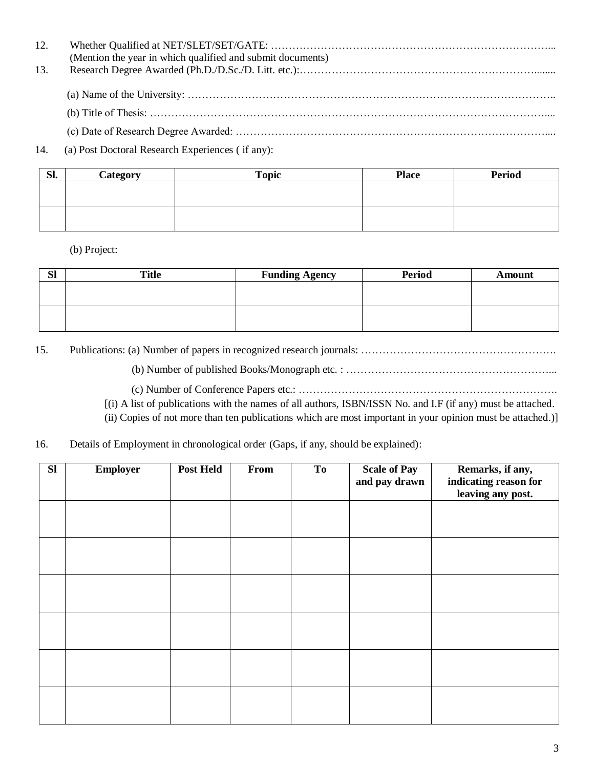| 12. |                                                            |
|-----|------------------------------------------------------------|
|     | (Mention the year in which qualified and submit documents) |
| 13. |                                                            |
|     |                                                            |
|     |                                                            |
|     |                                                            |
|     |                                                            |

14. (a) Post Doctoral Research Experiences ( if any):

| $\mathbf{C}$<br>DI. | Category | <b>Topic</b> | <b>Place</b> | <b>Period</b> |
|---------------------|----------|--------------|--------------|---------------|
|                     |          |              |              |               |
|                     |          |              |              |               |
|                     |          |              |              |               |
|                     |          |              |              |               |

(b) Project:

| <b>SI</b> | <b>Title</b> | <b>Funding Agency</b> | <b>Period</b> | <b>Amount</b> |
|-----------|--------------|-----------------------|---------------|---------------|
|           |              |                       |               |               |
|           |              |                       |               |               |
|           |              |                       |               |               |
|           |              |                       |               |               |

15. Publications: (a) Number of papers in recognized research journals: ……………………………………………….

(b) Number of published Books/Monograph etc. : …………………………………………………...

(c) Number of Conference Papers etc.: ……………………………………………………………….

[(i) A list of publications with the names of all authors, ISBN/ISSN No. and I.F (if any) must be attached.

(ii) Copies of not more than ten publications which are most important in your opinion must be attached.)]

### 16. Details of Employment in chronological order (Gaps, if any, should be explained):

| <b>Sl</b> | <b>Employer</b> | <b>Post Held</b> | From | <b>To</b> | <b>Scale of Pay</b><br>and pay drawn | Remarks, if any,<br>indicating reason for<br>leaving any post. |
|-----------|-----------------|------------------|------|-----------|--------------------------------------|----------------------------------------------------------------|
|           |                 |                  |      |           |                                      |                                                                |
|           |                 |                  |      |           |                                      |                                                                |
|           |                 |                  |      |           |                                      |                                                                |
|           |                 |                  |      |           |                                      |                                                                |
|           |                 |                  |      |           |                                      |                                                                |
|           |                 |                  |      |           |                                      |                                                                |